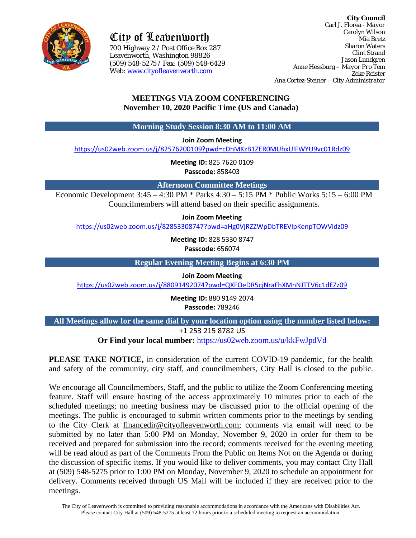

City of Leavenworth

700 Highway 2 / Post Office Box 287 700 Highway 2 / Post Office Box 287Leavenworth, Washington 98826 (509) 548-5275 / Fax: (509) 548-6429 Web: [www.cityofleavenworth.com](http://www.cityofleavenworth.com/)

**City Council** Carl J. Florea - *Mayor* Carolyn Wilson Mia Bretz Sharon Waters Clint Strand Jason Lundgren Anne Hessburg – *Mayor Pro Tem* Zeke Reister Ana Cortez-Steiner – *City Administrator*

# **MEETINGS VIA ZOOM CONFERENCING November 10, 2020 Pacific Time (US and Canada)**

**Morning Study Session 8:30 AM to 11:00 AM**

**Join Zoom Meeting**

<https://us02web.zoom.us/j/82576200109?pwd=cDhMKzB1ZER0MUhxUlFWYU9vc01Rdz09>

**Meeting ID:** 825 7620 0109 **Passcode:** 858403

**Afternoon Committee Meetings**

Economic Development 3:45 – 4:30 PM \* Parks 4:30 – 5:15 PM \* Public Works 5:15 – 6:00 PM Councilmembers will attend based on their specific assignments.

**Join Zoom Meeting**

<https://us02web.zoom.us/j/82853308747?pwd=aHg0VjRZZWpDbTREVlpKenpTOWVidz09>

**Meeting ID:** 828 5330 8747 **Passcode:** 656074

**Regular Evening Meeting Begins at 6:30 PM**

**Join Zoom Meeting**

<https://us02web.zoom.us/j/88091492074?pwd=QXFOeDR5cjNraFhXMnNJTTV6c1dEZz09>

**Meeting ID:** 880 9149 2074 **Passcode:** 789246

**All Meetings allow for the same dial by your location option using the number listed below:**

+1 253 215 8782 US

**Or Find your local number:** <https://us02web.zoom.us/u/kkFwJpdVd>

**PLEASE TAKE NOTICE,** in consideration of the current COVID-19 pandemic, for the health and safety of the community, city staff, and councilmembers, City Hall is closed to the public.

We encourage all Councilmembers, Staff, and the public to utilize the Zoom Conferencing meeting feature. Staff will ensure hosting of the access approximately 10 minutes prior to each of the scheduled meetings; no meeting business may be discussed prior to the official opening of the meetings. The public is encouraged to submit written comments prior to the meetings by sending to the City Clerk at [financedir@cityofleavenworth.com;](mailto:financedir@cityofleavenworth.com) comments via email will need to be submitted by no later than 5:00 PM on Monday, November 9, 2020 in order for them to be received and prepared for submission into the record; comments received for the evening meeting will be read aloud as part of the Comments From the Public on Items Not on the Agenda or during the discussion of specific items. If you would like to deliver comments, you may contact City Hall at (509) 548-5275 prior to 1:00 PM on Monday, November 9, 2020 to schedule an appointment for delivery. Comments received through US Mail will be included if they are received prior to the meetings.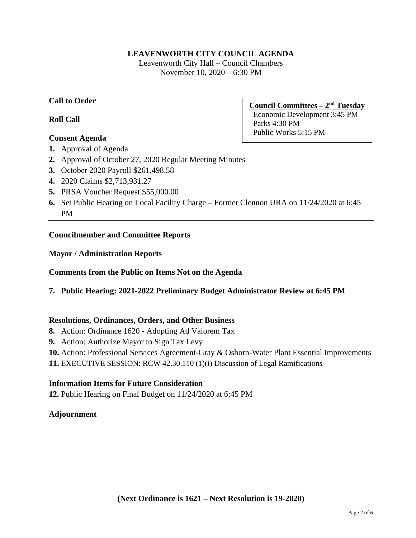## **LEAVENWORTH CITY COUNCIL AGENDA**

Leavenworth City Hall – Council Chambers November 10, 2020 – 6:30 PM

## **Call to Order**

**Roll Call**

## **Consent Agenda**

**Council Committees – 2nd Tuesday** Economic Development 3:45 PM Parks 4:30 PM Public Works 5:15 PM

- **1.** Approval of Agenda
- **2.** Approval of October 27, 2020 Regular Meeting Minutes
- **3.** October 2020 Payroll \$261,498.58
- **4.** 2020 Claims \$2,713,931.27
- **5.** PRSA Voucher Request \$55,000.00
- **6.** Set Public Hearing on Local Facility Charge Former Clennon URA on 11/24/2020 at 6:45 PM

### **Councilmember and Committee Reports**

#### **Mayor / Administration Reports**

### **Comments from the Public on Items Not on the Agenda**

**7. Public Hearing: 2021-2022 Preliminary Budget Administrator Review at 6:45 PM**

### **Resolutions, Ordinances, Orders, and Other Business**

- **8.** Action: Ordinance 1620 Adopting Ad Valorem Tax
- **9.** Action: Authorize Mayor to Sign Tax Levy
- **10.** Action: Professional Services Agreement-Gray & Osborn-Water Plant Essential Improvements

**11.** EXECUTIVE SESSION: RCW 42.30.110 (1)(i) Discussion of Legal Ramifications

### **Information Items for Future Consideration**

**12.** Public Hearing on Final Budget on 11/24/2020 at 6:45 PM

### **Adjournment**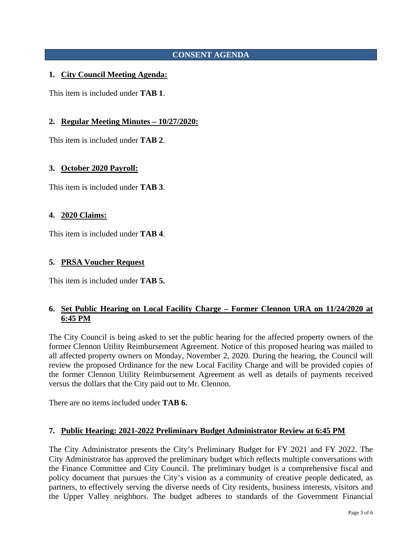# **CONSENT AGENDA**

### **1. City Council Meeting Agenda:**

This item is included under **TAB 1**.

#### **2. Regular Meeting Minutes – 10/27/2020:**

This item is included under **TAB 2**.

#### **3. October 2020 Payroll:**

This item is included under **TAB 3**.

#### **4. 2020 Claims:**

This item is included under **TAB 4**.

#### **5. PRSA Voucher Request**

This item is included under **TAB 5.**

### **6. Set Public Hearing on Local Facility Charge – Former Clennon URA on 11/24/2020 at 6:45 PM**

The City Council is being asked to set the public hearing for the affected property owners of the former Clennon Utility Reimbursement Agreement. Notice of this proposed hearing was mailed to all affected property owners on Monday, November 2, 2020. During the hearing, the Council will review the proposed Ordinance for the new Local Facility Charge and will be provided copies of the former Clennon Utility Reimbursement Agreement as well as details of payments received versus the dollars that the City paid out to Mr. Clennon.

There are no items included under **TAB 6.**

#### **7. Public Hearing: 2021-2022 Preliminary Budget Administrator Review at 6:45 PM**

The City Administrator presents the City's Preliminary Budget for FY 2021 and FY 2022. The City Administrator has approved the preliminary budget which reflects multiple conversations with the Finance Committee and City Council. The preliminary budget is a comprehensive fiscal and policy document that pursues the City's vision as a community of creative people dedicated, as partners, to effectively serving the diverse needs of City residents, business interests, visitors and the Upper Valley neighbors. The budget adheres to standards of the Government Financial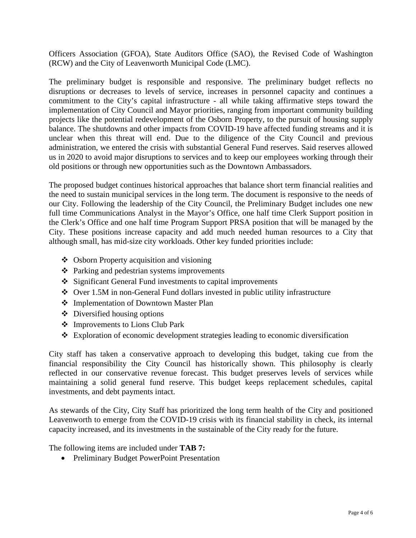Officers Association (GFOA), State Auditors Office (SAO), the Revised Code of Washington (RCW) and the City of Leavenworth Municipal Code (LMC).

The preliminary budget is responsible and responsive. The preliminary budget reflects no disruptions or decreases to levels of service, increases in personnel capacity and continues a commitment to the City's capital infrastructure - all while taking affirmative steps toward the implementation of City Council and Mayor priorities, ranging from important community building projects like the potential redevelopment of the Osborn Property, to the pursuit of housing supply balance. The shutdowns and other impacts from COVID-19 have affected funding streams and it is unclear when this threat will end. Due to the diligence of the City Council and previous administration, we entered the crisis with substantial General Fund reserves. Said reserves allowed us in 2020 to avoid major disruptions to services and to keep our employees working through their old positions or through new opportunities such as the Downtown Ambassadors.

The proposed budget continues historical approaches that balance short term financial realities and the need to sustain municipal services in the long term. The document is responsive to the needs of our City. Following the leadership of the City Council, the Preliminary Budget includes one new full time Communications Analyst in the Mayor's Office, one half time Clerk Support position in the Clerk's Office and one half time Program Support PRSA position that will be managed by the City. These positions increase capacity and add much needed human resources to a City that although small, has mid-size city workloads. Other key funded priorities include:

- Osborn Property acquisition and visioning
- Parking and pedestrian systems improvements
- $\div$  Significant General Fund investments to capital improvements
- Over 1.5M in non-General Fund dollars invested in public utility infrastructure
- Implementation of Downtown Master Plan
- Diversified housing options
- Improvements to Lions Club Park
- Exploration of economic development strategies leading to economic diversification

City staff has taken a conservative approach to developing this budget, taking cue from the financial responsibility the City Council has historically shown. This philosophy is clearly reflected in our conservative revenue forecast. This budget preserves levels of services while maintaining a solid general fund reserve. This budget keeps replacement schedules, capital investments, and debt payments intact.

As stewards of the City, City Staff has prioritized the long term health of the City and positioned Leavenworth to emerge from the COVID-19 crisis with its financial stability in check, its internal capacity increased, and its investments in the sustainable of the City ready for the future.

The following items are included under **TAB 7:**

• Preliminary Budget PowerPoint Presentation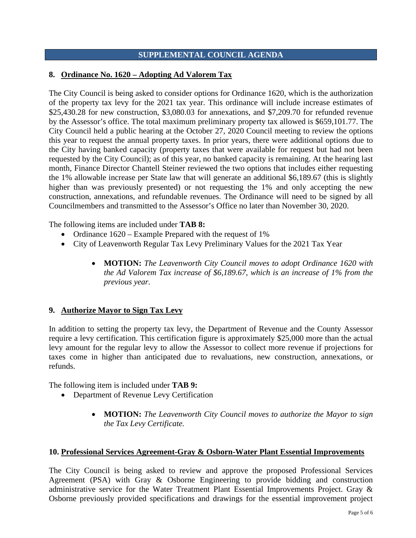## **SUPPLEMENTAL COUNCIL AGENDA**

### **8. Ordinance No. 1620 – Adopting Ad Valorem Tax**

The City Council is being asked to consider options for Ordinance 1620, which is the authorization of the property tax levy for the 2021 tax year. This ordinance will include increase estimates of \$25,430.28 for new construction, \$3,080.03 for annexations, and \$7,209.70 for refunded revenue by the Assessor's office. The total maximum preliminary property tax allowed is \$659,101.77. The City Council held a public hearing at the October 27, 2020 Council meeting to review the options this year to request the annual property taxes. In prior years, there were additional options due to the City having banked capacity (property taxes that were available for request but had not been requested by the City Council); as of this year, no banked capacity is remaining. At the hearing last month, Finance Director Chantell Steiner reviewed the two options that includes either requesting the 1% allowable increase per State law that will generate an additional \$6,189.67 (this is slightly higher than was previously presented) or not requesting the 1% and only accepting the new construction, annexations, and refundable revenues. The Ordinance will need to be signed by all Councilmembers and transmitted to the Assessor's Office no later than November 30, 2020.

The following items are included under **TAB 8:**

- Ordinance  $1620 -$  Example Prepared with the request of 1%
- City of Leavenworth Regular Tax Levy Preliminary Values for the 2021 Tax Year
	- **MOTION:** *The Leavenworth City Council moves to adopt Ordinance 1620 with the Ad Valorem Tax increase of \$6,189.67, which is an increase of 1% from the previous year.*

### **9. Authorize Mayor to Sign Tax Levy**

In addition to setting the property tax levy, the Department of Revenue and the County Assessor require a levy certification. This certification figure is approximately \$25,000 more than the actual levy amount for the regular levy to allow the Assessor to collect more revenue if projections for taxes come in higher than anticipated due to revaluations, new construction, annexations, or refunds.

The following item is included under **TAB 9:**

- Department of Revenue Levy Certification
	- **MOTION:** *The Leavenworth City Council moves to authorize the Mayor to sign the Tax Levy Certificate.*

### **10. Professional Services Agreement-Gray & Osborn-Water Plant Essential Improvements**

The City Council is being asked to review and approve the proposed Professional Services Agreement (PSA) with Gray & Osborne Engineering to provide bidding and construction administrative service for the Water Treatment Plant Essential Improvements Project. Gray & Osborne previously provided specifications and drawings for the essential improvement project